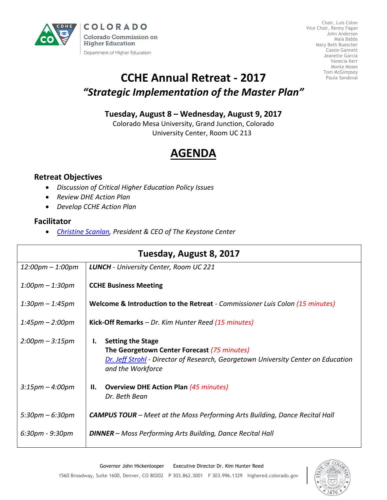

Chair, Luis Colon Vice Chair, Renny Fagan John Anderson Maia Babbs Mary Beth Buescher Cassie Gannett Jeanette Garcia Vanecia Kerr Monte Moses Tom McGimpsey Paula Sandoval

## **CCHE Annual Retreat - 2017** *"Strategic Implementation of the Master Plan"*

### **Tuesday, August 8 – Wednesday, August 9, 2017**

Colorado Mesa University, Grand Junction, Colorado University Center, Room UC 213

# **AGENDA**

### **Retreat Objectives**

- *Discussion of Critical Higher Education Policy Issues*
- *Review DHE Action Plan*
- *Develop CCHE Action Plan*

#### **Facilitator**

*[Christine Scanlan,](https://www.keystone.org/about/staff/christine-m-scanlan/) President & CEO of The Keystone Center*

| Tuesday, August 8, 2017            |                                                                                                                                                                                         |  |  |
|------------------------------------|-----------------------------------------------------------------------------------------------------------------------------------------------------------------------------------------|--|--|
| $12:00 \text{pm} - 1:00 \text{pm}$ | <b>LUNCH</b> - University Center, Room UC 221                                                                                                                                           |  |  |
| $1:00$ pm – $1:30$ pm              | <b>CCHE Business Meeting</b>                                                                                                                                                            |  |  |
| $1:30pm - 1:45pm$                  | <b>Welcome &amp; Introduction to the Retreat</b> - Commissioner Luis Colon (15 minutes)                                                                                                 |  |  |
| $1:45 \text{pm} - 2:00 \text{pm}$  | Kick-Off Remarks - Dr. Kim Hunter Reed (15 minutes)                                                                                                                                     |  |  |
| $2:00 \text{pm} - 3:15 \text{pm}$  | <b>Setting the Stage</b><br>Ι.<br>The Georgetown Center Forecast (75 minutes)<br>Dr. Jeff Strohl - Director of Research, Georgetown University Center on Education<br>and the Workforce |  |  |
| $3:15 \text{pm} - 4:00 \text{pm}$  | <b>Overview DHE Action Plan (45 minutes)</b><br>Н.<br>Dr. Beth Bean                                                                                                                     |  |  |
| $5:30 \text{pm} - 6:30 \text{pm}$  | <b>CAMPUS TOUR</b> – Meet at the Moss Performing Arts Building, Dance Recital Hall                                                                                                      |  |  |
| $6:30pm - 9:30pm$                  | <b>DINNER</b> – Moss Performing Arts Building, Dance Recital Hall                                                                                                                       |  |  |